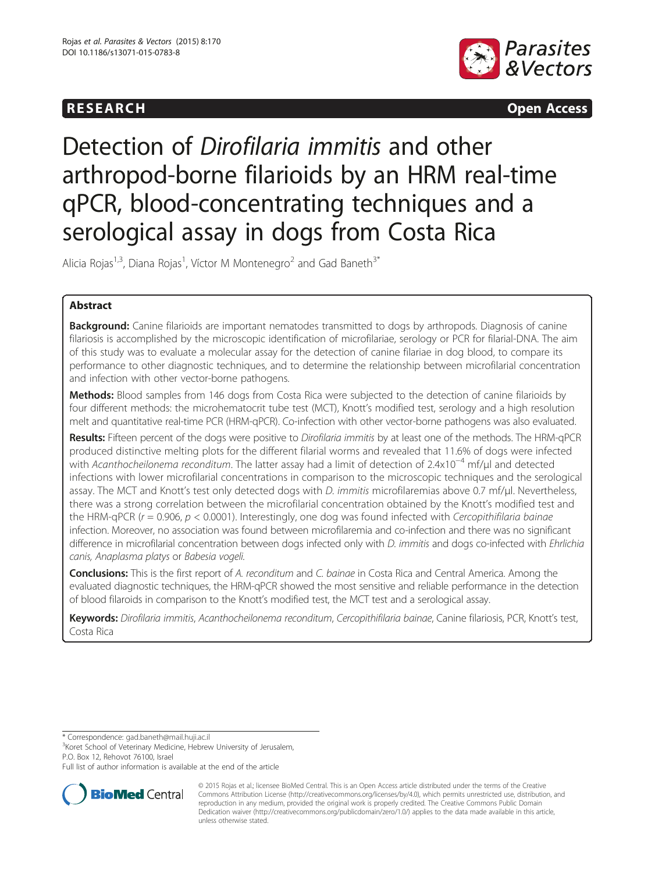## **RESEARCH RESEARCH CONSUMING ACCESS**



# Detection of Dirofilaria immitis and other arthropod-borne filarioids by an HRM real-time qPCR, blood-concentrating techniques and a serological assay in dogs from Costa Rica

Alicia Rojas<sup>1,3</sup>, Diana Rojas<sup>1</sup>, Víctor M Montenegro<sup>2</sup> and Gad Baneth<sup>3\*</sup>

## Abstract

**Background:** Canine filarioids are important nematodes transmitted to dogs by arthropods. Diagnosis of canine filariosis is accomplished by the microscopic identification of microfilariae, serology or PCR for filarial-DNA. The aim of this study was to evaluate a molecular assay for the detection of canine filariae in dog blood, to compare its performance to other diagnostic techniques, and to determine the relationship between microfilarial concentration and infection with other vector-borne pathogens.

Methods: Blood samples from 146 dogs from Costa Rica were subjected to the detection of canine filarioids by four different methods: the microhematocrit tube test (MCT), Knott's modified test, serology and a high resolution melt and quantitative real-time PCR (HRM-qPCR). Co-infection with other vector-borne pathogens was also evaluated.

Results: Fifteen percent of the dogs were positive to Dirofilaria immitis by at least one of the methods. The HRM-qPCR produced distinctive melting plots for the different filarial worms and revealed that 11.6% of dogs were infected with Acanthocheilonema reconditum. The latter assay had a limit of detection of 2.4x10<sup>-4</sup> mf/µl and detected infections with lower microfilarial concentrations in comparison to the microscopic techniques and the serological assay. The MCT and Knott's test only detected dogs with D. immitis microfilaremias above 0.7 mf/µl. Nevertheless, there was a strong correlation between the microfilarial concentration obtained by the Knott's modified test and the HRM-qPCR ( $r = 0.906$ ,  $p < 0.0001$ ). Interestingly, one dog was found infected with Cercopithifilaria bainae infection. Moreover, no association was found between microfilaremia and co-infection and there was no significant difference in microfilarial concentration between dogs infected only with D. immitis and dogs co-infected with Ehrlichia canis, Anaplasma platys or Babesia vogeli.

**Conclusions:** This is the first report of A. reconditum and C. bainae in Costa Rica and Central America. Among the evaluated diagnostic techniques, the HRM-qPCR showed the most sensitive and reliable performance in the detection of blood filaroids in comparison to the Knott's modified test, the MCT test and a serological assay.

Keywords: Dirofilaria immitis, Acanthocheilonema reconditum, Cercopithifilaria bainae, Canine filariosis, PCR, Knott's test, Costa Rica

\* Correspondence: [gad.baneth@mail.huji.ac.il](mailto:gad.baneth@mail.huji.ac.il) <sup>3</sup>

<sup>3</sup> Koret School of Veterinary Medicine, Hebrew University of Jerusalem, P.O. Box 12, Rehovot 76100, Israel

Full list of author information is available at the end of the article



<sup>© 2015</sup> Rojas et al.; licensee BioMed Central. This is an Open Access article distributed under the terms of the Creative Commons Attribution License [\(http://creativecommons.org/licenses/by/4.0\)](http://creativecommons.org/licenses/by/4.0), which permits unrestricted use, distribution, and reproduction in any medium, provided the original work is properly credited. The Creative Commons Public Domain Dedication waiver [\(http://creativecommons.org/publicdomain/zero/1.0/](http://creativecommons.org/publicdomain/zero/1.0/)) applies to the data made available in this article, unless otherwise stated.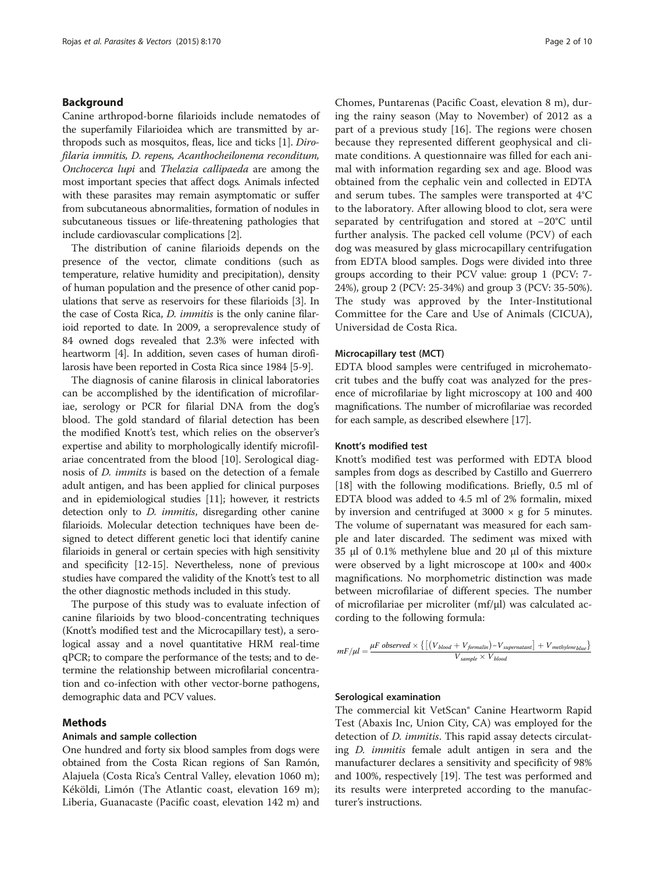## Background

Canine arthropod-borne filarioids include nematodes of the superfamily Filarioidea which are transmitted by arthropods such as mosquitos, fleas, lice and ticks [\[1](#page-8-0)]. Dirofilaria immitis, D. repens, Acanthocheilonema reconditum, Onchocerca lupi and Thelazia callipaeda are among the most important species that affect dogs. Animals infected with these parasites may remain asymptomatic or suffer from subcutaneous abnormalities, formation of nodules in subcutaneous tissues or life-threatening pathologies that include cardiovascular complications [\[2\]](#page-8-0).

The distribution of canine filarioids depends on the presence of the vector, climate conditions (such as temperature, relative humidity and precipitation), density of human population and the presence of other canid populations that serve as reservoirs for these filarioids [[3](#page-8-0)]. In the case of Costa Rica, D. immitis is the only canine filarioid reported to date. In 2009, a seroprevalence study of 84 owned dogs revealed that 2.3% were infected with heartworm [\[4](#page-8-0)]. In addition, seven cases of human dirofilarosis have been reported in Costa Rica since 1984 [[5-9\]](#page-8-0).

The diagnosis of canine filarosis in clinical laboratories can be accomplished by the identification of microfilariae, serology or PCR for filarial DNA from the dog's blood. The gold standard of filarial detection has been the modified Knott's test, which relies on the observer's expertise and ability to morphologically identify microfilariae concentrated from the blood [\[10\]](#page-8-0). Serological diagnosis of D. immits is based on the detection of a female adult antigen, and has been applied for clinical purposes and in epidemiological studies [\[11\]](#page-8-0); however, it restricts detection only to *D. immitis*, disregarding other canine filarioids. Molecular detection techniques have been designed to detect different genetic loci that identify canine filarioids in general or certain species with high sensitivity and specificity [\[12-15\]](#page-8-0). Nevertheless, none of previous studies have compared the validity of the Knott's test to all the other diagnostic methods included in this study.

The purpose of this study was to evaluate infection of canine filarioids by two blood-concentrating techniques (Knott's modified test and the Microcapillary test), a serological assay and a novel quantitative HRM real-time qPCR; to compare the performance of the tests; and to determine the relationship between microfilarial concentration and co-infection with other vector-borne pathogens, demographic data and PCV values.

## Methods

## Animals and sample collection

One hundred and forty six blood samples from dogs were obtained from the Costa Rican regions of San Ramón, Alajuela (Costa Rica's Central Valley, elevation 1060 m); Kéköldi, Limón (The Atlantic coast, elevation 169 m); Liberia, Guanacaste (Pacific coast, elevation 142 m) and

Chomes, Puntarenas (Pacific Coast, elevation 8 m), during the rainy season (May to November) of 2012 as a part of a previous study [\[16](#page-8-0)]. The regions were chosen because they represented different geophysical and climate conditions. A questionnaire was filled for each animal with information regarding sex and age. Blood was obtained from the cephalic vein and collected in EDTA and serum tubes. The samples were transported at 4°C to the laboratory. After allowing blood to clot, sera were separated by centrifugation and stored at −20°C until further analysis. The packed cell volume (PCV) of each dog was measured by glass microcapillary centrifugation from EDTA blood samples. Dogs were divided into three groups according to their PCV value: group 1 (PCV: 7- 24%), group 2 (PCV: 25-34%) and group 3 (PCV: 35-50%). The study was approved by the Inter-Institutional Committee for the Care and Use of Animals (CICUA), Universidad de Costa Rica.

#### Microcapillary test (MCT)

EDTA blood samples were centrifuged in microhematocrit tubes and the buffy coat was analyzed for the presence of microfilariae by light microscopy at 100 and 400 magnifications. The number of microfilariae was recorded for each sample, as described elsewhere [\[17\]](#page-8-0).

## Knott's modified test

Knott's modified test was performed with EDTA blood samples from dogs as described by Castillo and Guerrero [[18\]](#page-8-0) with the following modifications. Briefly, 0.5 ml of EDTA blood was added to 4.5 ml of 2% formalin, mixed by inversion and centrifuged at  $3000 \times g$  for 5 minutes. The volume of supernatant was measured for each sample and later discarded. The sediment was mixed with 35 μl of 0.1% methylene blue and 20 μl of this mixture were observed by a light microscope at  $100 \times$  and  $400 \times$ magnifications. No morphometric distinction was made between microfilariae of different species. The number of microfilariae per microliter (mf/μl) was calculated according to the following formula:

$$
mF/\mu l = \frac{\mu F \ observed \times \{[(V_{blood} + V_{formation}) - V_{supermatant}]} + V_{methylene_{blue}}\}}{V_{sample} \times V_{blood}}
$$

## Serological examination

The commercial kit VetScan® Canine Heartworm Rapid Test (Abaxis Inc, Union City, CA) was employed for the detection of *D. immitis*. This rapid assay detects circulating D. immitis female adult antigen in sera and the manufacturer declares a sensitivity and specificity of 98% and 100%, respectively [[19\]](#page-8-0). The test was performed and its results were interpreted according to the manufacturer's instructions.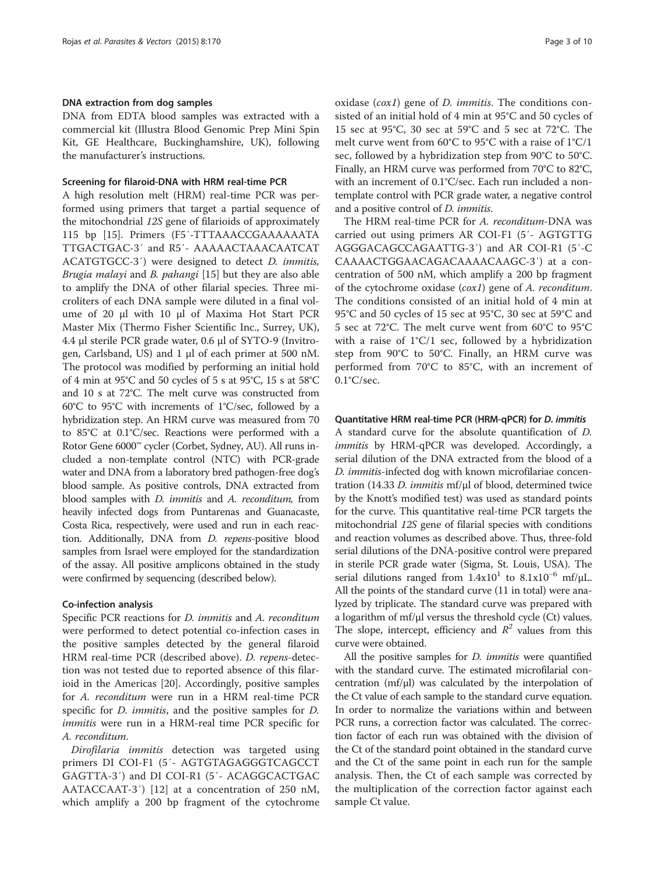#### DNA extraction from dog samples

DNA from EDTA blood samples was extracted with a commercial kit (Illustra Blood Genomic Prep Mini Spin Kit, GE Healthcare, Buckinghamshire, UK), following the manufacturer's instructions.

#### Screening for filaroid-DNA with HRM real-time PCR

A high resolution melt (HRM) real-time PCR was performed using primers that target a partial sequence of the mitochondrial 12S gene of filarioids of approximately 115 bp [[15\]](#page-8-0). Primers (F5′-TTTAAACCGAAAAAATA TTGACTGAC-3′ and R5′- AAAAACTAAACAATCAT ACATGTGCC-3′) were designed to detect D. immitis, Brugia malayi and B. pahangi [[15\]](#page-8-0) but they are also able to amplify the DNA of other filarial species. Three microliters of each DNA sample were diluted in a final volume of 20 μl with 10 μl of Maxima Hot Start PCR Master Mix (Thermo Fisher Scientific Inc., Surrey, UK), 4.4 μl sterile PCR grade water, 0.6 μl of SYTO-9 (Invitrogen, Carlsband, US) and 1 μl of each primer at 500 nM. The protocol was modified by performing an initial hold of 4 min at 95°C and 50 cycles of 5 s at 95°C, 15 s at 58°C and 10 s at 72°C. The melt curve was constructed from 60°C to 95°C with increments of 1°C/sec, followed by a hybridization step. An HRM curve was measured from 70 to 85°C at 0.1°C/sec. Reactions were performed with a Rotor Gene 6000™ cycler (Corbet, Sydney, AU). All runs included a non-template control (NTC) with PCR-grade water and DNA from a laboratory bred pathogen-free dog's blood sample. As positive controls, DNA extracted from blood samples with D. immitis and A. reconditum, from heavily infected dogs from Puntarenas and Guanacaste, Costa Rica, respectively, were used and run in each reaction. Additionally, DNA from D. repens-positive blood samples from Israel were employed for the standardization of the assay. All positive amplicons obtained in the study were confirmed by sequencing (described below).

#### Co-infection analysis

Specific PCR reactions for D. immitis and A. reconditum were performed to detect potential co-infection cases in the positive samples detected by the general filaroid HRM real-time PCR (described above). D. repens-detection was not tested due to reported absence of this filarioid in the Americas [\[20](#page-8-0)]. Accordingly, positive samples for A. reconditum were run in a HRM real-time PCR specific for *D. immitis*, and the positive samples for *D. immitis* were run in a HRM-real time PCR specific for A. reconditum.

Dirofilaria immitis detection was targeted using primers DI COI-F1 (5′- AGTGTAGAGGGTCAGCCT GAGTTA-3′) and DI COI-R1 (5′- ACAGGCACTGAC AATACCAAT-3′) [[12](#page-8-0)] at a concentration of 250 nM, which amplify a 200 bp fragment of the cytochrome oxidase (cox1) gene of D. immitis. The conditions consisted of an initial hold of 4 min at 95°C and 50 cycles of 15 sec at 95°C, 30 sec at 59°C and 5 sec at 72°C. The melt curve went from 60°C to 95°C with a raise of 1°C/1 sec, followed by a hybridization step from 90°C to 50°C. Finally, an HRM curve was performed from 70°C to 82°C, with an increment of 0.1°C/sec. Each run included a nontemplate control with PCR grade water, a negative control and a positive control of D. immitis.

The HRM real-time PCR for A. reconditum-DNA was carried out using primers AR COI-F1 (5′- AGTGTTG AGGGACAGCCAGAATTG-3′) and AR COI-R1 (5′-C CAAAACTGGAACAGACAAAACAAGC-3′) at a concentration of 500 nM, which amplify a 200 bp fragment of the cytochrome oxidase (cox1) gene of A. reconditum. The conditions consisted of an initial hold of 4 min at 95°C and 50 cycles of 15 sec at 95°C, 30 sec at 59°C and 5 sec at 72°C. The melt curve went from 60°C to 95°C with a raise of 1°C/1 sec, followed by a hybridization step from 90°C to 50°C. Finally, an HRM curve was performed from 70°C to 85°C, with an increment of  $0.1^{\circ}$ C/sec.

## Quantitative HRM real-time PCR (HRM-qPCR) for D. immitis

A standard curve for the absolute quantification of D. immitis by HRM-qPCR was developed. Accordingly, a serial dilution of the DNA extracted from the blood of a D. immitis-infected dog with known microfilariae concentration (14.33 D. immitis mf/μl of blood, determined twice by the Knott's modified test) was used as standard points for the curve. This quantitative real-time PCR targets the mitochondrial 12S gene of filarial species with conditions and reaction volumes as described above. Thus, three-fold serial dilutions of the DNA-positive control were prepared in sterile PCR grade water (Sigma, St. Louis, USA). The serial dilutions ranged from  $1.4x10<sup>1</sup>$  to  $8.1x10<sup>-6</sup>$  mf/ $\mu$ L. All the points of the standard curve (11 in total) were analyzed by triplicate. The standard curve was prepared with a logarithm of mf/μl versus the threshold cycle (Ct) values. The slope, intercept, efficiency and  $R^2$  values from this curve were obtained.

All the positive samples for *D. immitis* were quantified with the standard curve. The estimated microfilarial concentration (mf/μl) was calculated by the interpolation of the Ct value of each sample to the standard curve equation. In order to normalize the variations within and between PCR runs, a correction factor was calculated. The correction factor of each run was obtained with the division of the Ct of the standard point obtained in the standard curve and the Ct of the same point in each run for the sample analysis. Then, the Ct of each sample was corrected by the multiplication of the correction factor against each sample Ct value.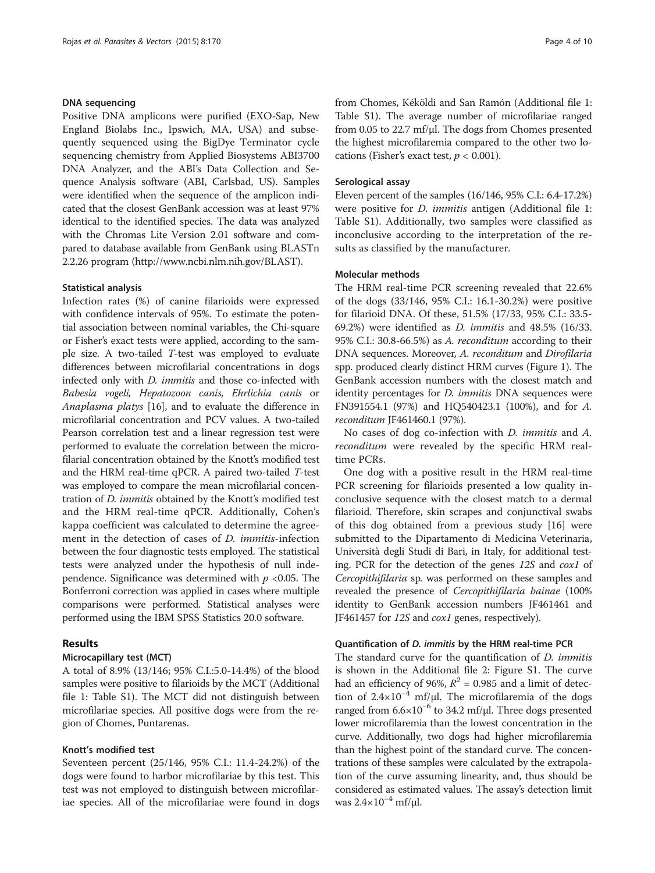#### DNA sequencing

Positive DNA amplicons were purified (EXO-Sap, New England Biolabs Inc., Ipswich, MA, USA) and subsequently sequenced using the BigDye Terminator cycle sequencing chemistry from Applied Biosystems ABI3700 DNA Analyzer, and the ABI's Data Collection and Sequence Analysis software (ABI, Carlsbad, US). Samples were identified when the sequence of the amplicon indicated that the closest GenBank accession was at least 97% identical to the identified species. The data was analyzed with the Chromas Lite Version 2.01 software and compared to database available from GenBank using BLASTn 2.2.26 program (<http://www.ncbi.nlm.nih.gov/BLAST>).

### Statistical analysis

Infection rates (%) of canine filarioids were expressed with confidence intervals of 95%. To estimate the potential association between nominal variables, the Chi-square or Fisher's exact tests were applied, according to the sample size. A two-tailed T-test was employed to evaluate differences between microfilarial concentrations in dogs infected only with *D. immitis* and those co-infected with Babesia vogeli, Hepatozoon canis, Ehrlichia canis or Anaplasma platys [\[16\]](#page-8-0), and to evaluate the difference in microfilarial concentration and PCV values. A two-tailed Pearson correlation test and a linear regression test were performed to evaluate the correlation between the microfilarial concentration obtained by the Knott's modified test and the HRM real-time qPCR. A paired two-tailed T-test was employed to compare the mean microfilarial concentration of D. immitis obtained by the Knott's modified test and the HRM real-time qPCR. Additionally, Cohen's kappa coefficient was calculated to determine the agreement in the detection of cases of D. immitis-infection between the four diagnostic tests employed. The statistical tests were analyzed under the hypothesis of null independence. Significance was determined with  $p < 0.05$ . The Bonferroni correction was applied in cases where multiple comparisons were performed. Statistical analyses were performed using the IBM SPSS Statistics 20.0 software.

#### Results

## Microcapillary test (MCT)

A total of 8.9% (13/146; 95% C.I.:5.0-14.4%) of the blood samples were positive to filarioids by the MCT (Additional file [1:](#page-7-0) Table S1). The MCT did not distinguish between microfilariae species. All positive dogs were from the region of Chomes, Puntarenas.

#### Knott's modified test

Seventeen percent (25/146, 95% C.I.: 11.4-24.2%) of the dogs were found to harbor microfilariae by this test. This test was not employed to distinguish between microfilariae species. All of the microfilariae were found in dogs from Chomes, Kéköldi and San Ramón (Additional file [1](#page-7-0): Table S1). The average number of microfilariae ranged from 0.05 to 22.7 mf/μl. The dogs from Chomes presented the highest microfilaremia compared to the other two locations (Fisher's exact test,  $p < 0.001$ ).

#### Serological assay

Eleven percent of the samples (16/146, 95% C.I.: 6.4-17.2%) were positive for *D. immitis* antigen (Additional file [1](#page-7-0): Table S1). Additionally, two samples were classified as inconclusive according to the interpretation of the results as classified by the manufacturer.

## Molecular methods

The HRM real-time PCR screening revealed that 22.6% of the dogs (33/146, 95% C.I.: 16.1-30.2%) were positive for filarioid DNA. Of these, 51.5% (17/33, 95% C.I.: 33.5- 69.2%) were identified as D. immitis and 48.5% (16/33. 95% C.I.: 30.8-66.5%) as A. reconditum according to their DNA sequences. Moreover, A. reconditum and Dirofilaria spp. produced clearly distinct HRM curves (Figure [1\)](#page-4-0). The GenBank accession numbers with the closest match and identity percentages for *D. immitis* DNA sequences were FN391554.1 (97%) and HQ540423.1 (100%), and for A. reconditum JF461460.1 (97%).

No cases of dog co-infection with D. immitis and A. reconditum were revealed by the specific HRM realtime PCRs.

One dog with a positive result in the HRM real-time PCR screening for filarioids presented a low quality inconclusive sequence with the closest match to a dermal filarioid. Therefore, skin scrapes and conjunctival swabs of this dog obtained from a previous study [\[16](#page-8-0)] were submitted to the Dipartamento di Medicina Veterinaria, Università degli Studi di Bari, in Italy, for additional testing. PCR for the detection of the genes 12S and cox1 of Cercopithifilaria sp. was performed on these samples and revealed the presence of Cercopithifilaria bainae (100% identity to GenBank accession numbers JF461461 and JF461457 for 12S and cox1 genes, respectively).

#### Quantification of D. immitis by the HRM real-time PCR

The standard curve for the quantification of *D. immitis* is shown in the Additional file [2](#page-8-0): Figure S1. The curve had an efficiency of 96%,  $R^2$  = 0.985 and a limit of detection of  $2.4 \times 10^{-4}$  mf/µl. The microfilaremia of the dogs ranged from  $6.6\times10^{-6}$  to 34.2 mf/µl. Three dogs presented lower microfilaremia than the lowest concentration in the curve. Additionally, two dogs had higher microfilaremia than the highest point of the standard curve. The concentrations of these samples were calculated by the extrapolation of the curve assuming linearity, and, thus should be considered as estimated values. The assay's detection limit was  $2.4 \times 10^{-4}$  mf/µl.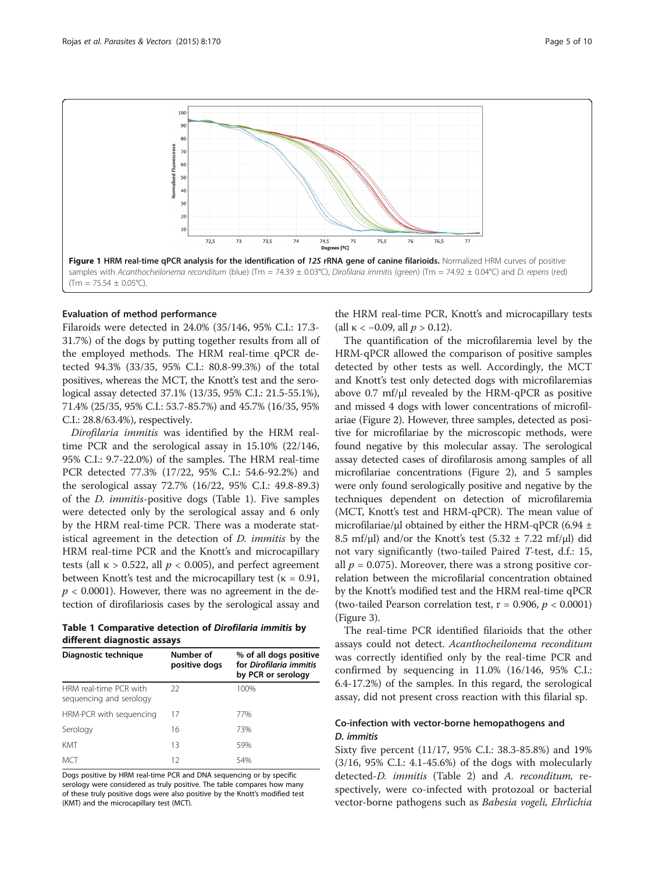<span id="page-4-0"></span>

## Evaluation of method performance

Filaroids were detected in 24.0% (35/146, 95% C.I.: 17.3- 31.7%) of the dogs by putting together results from all of the employed methods. The HRM real-time qPCR detected 94.3% (33/35, 95% C.I.: 80.8-99.3%) of the total positives, whereas the MCT, the Knott's test and the serological assay detected 37.1% (13/35, 95% C.I.: 21.5-55.1%), 71.4% (25/35, 95% C.I.: 53.7-85.7%) and 45.7% (16/35, 95% C.I.: 28.8/63.4%), respectively.

Dirofilaria immitis was identified by the HRM realtime PCR and the serological assay in 15.10% (22/146, 95% C.I.: 9.7-22.0%) of the samples. The HRM real-time PCR detected 77.3% (17/22, 95% C.I.: 54.6-92.2%) and the serological assay 72.7% (16/22, 95% C.I.: 49.8-89.3) of the D. immitis-positive dogs (Table 1). Five samples were detected only by the serological assay and 6 only by the HRM real-time PCR. There was a moderate statistical agreement in the detection of D. immitis by the HRM real-time PCR and the Knott's and microcapillary tests (all  $\kappa > 0.522$ , all  $p < 0.005$ ), and perfect agreement between Knott's test and the microcapillary test ( $\kappa = 0.91$ ,  $p < 0.0001$ ). However, there was no agreement in the detection of dirofilariosis cases by the serological assay and

Table 1 Comparative detection of Dirofilaria immitis by different diagnostic assays

| Diagnostic technique                              | Number of<br>positive dogs | % of all dogs positive<br>for Dirofilaria immitis<br>by PCR or serology |
|---------------------------------------------------|----------------------------|-------------------------------------------------------------------------|
| HRM real-time PCR with<br>sequencing and serology | 22                         | 100%                                                                    |
| HRM-PCR with sequencing                           | 17                         | 77%                                                                     |
| Serology                                          | 16                         | 73%                                                                     |
| <b>KMT</b>                                        | 13                         | 59%                                                                     |
| MCT                                               | 12                         | 54%                                                                     |

Dogs positive by HRM real-time PCR and DNA sequencing or by specific serology were considered as truly positive. The table compares how many of these truly positive dogs were also positive by the Knott's modified test (KMT) and the microcapillary test (MCT).

the HRM real-time PCR, Knott's and microcapillary tests (all  $\kappa$  < -0.09, all  $p > 0.12$ ).

The quantification of the microfilaremia level by the HRM-qPCR allowed the comparison of positive samples detected by other tests as well. Accordingly, the MCT and Knott's test only detected dogs with microfilaremias above 0.7 mf/μl revealed by the HRM-qPCR as positive and missed 4 dogs with lower concentrations of microfilariae (Figure [2\)](#page-5-0). However, three samples, detected as positive for microfilariae by the microscopic methods, were found negative by this molecular assay. The serological assay detected cases of dirofilarosis among samples of all microfilariae concentrations (Figure [2\)](#page-5-0), and 5 samples were only found serologically positive and negative by the techniques dependent on detection of microfilaremia (MCT, Knott's test and HRM-qPCR). The mean value of microfilariae/μl obtained by either the HRM-qPCR (6.94 ± 8.5 mf/ $\mu$ l) and/or the Knott's test (5.32  $\pm$  7.22 mf/ $\mu$ l) did not vary significantly (two-tailed Paired T-test, d.f.: 15, all  $p = 0.075$ ). Moreover, there was a strong positive correlation between the microfilarial concentration obtained by the Knott's modified test and the HRM real-time qPCR (two-tailed Pearson correlation test,  $r = 0.906$ ,  $p < 0.0001$ ) (Figure [3](#page-6-0)).

The real-time PCR identified filarioids that the other assays could not detect. Acanthocheilonema reconditum was correctly identified only by the real-time PCR and confirmed by sequencing in 11.0% (16/146, 95% C.I.: 6.4-17.2%) of the samples. In this regard, the serological assay, did not present cross reaction with this filarial sp.

## Co-infection with vector-borne hemopathogens and D. immitis

Sixty five percent (11/17, 95% C.I.: 38.3-85.8%) and 19% (3/16, 95% C.I.: 4.1-45.6%) of the dogs with molecularly detected-D. immitis (Table [2\)](#page-6-0) and A. reconditum, respectively, were co-infected with protozoal or bacterial vector-borne pathogens such as Babesia vogeli, Ehrlichia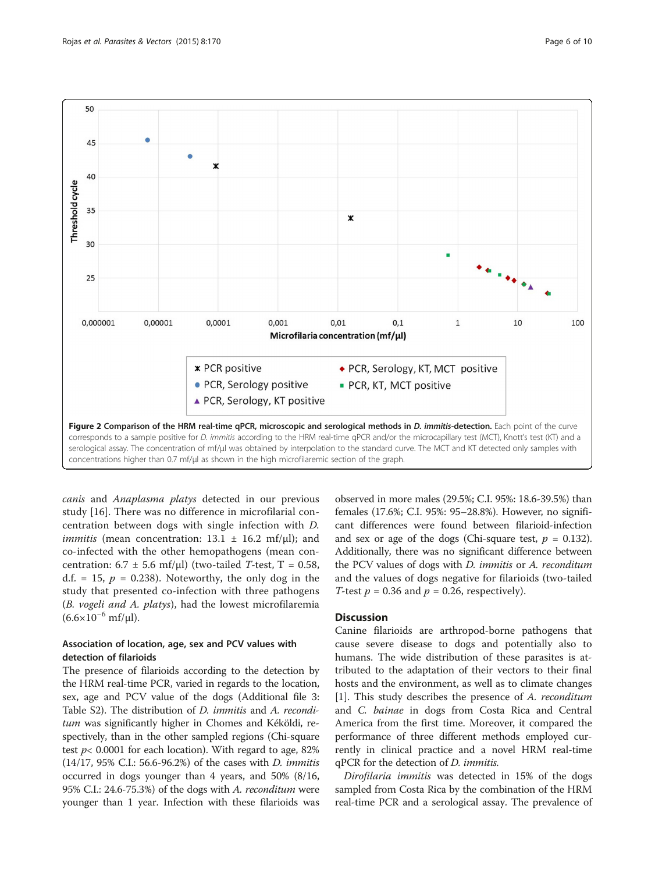<span id="page-5-0"></span>

canis and Anaplasma platys detected in our previous study [\[16](#page-8-0)]. There was no difference in microfilarial concentration between dogs with single infection with D. *immitis* (mean concentration:  $13.1 \pm 16.2$  mf/ $\mu$ l); and co-infected with the other hemopathogens (mean concentration:  $6.7 \pm 5.6$  mf/µl) (two-tailed T-test, T = 0.58, d.f. = 15,  $p = 0.238$ ). Noteworthy, the only dog in the study that presented co-infection with three pathogens (B. vogeli and A. platys), had the lowest microfilaremia  $(6.6\times10^{-6} \text{ mf/}\mu\text{L})$ .

## Association of location, age, sex and PCV values with detection of filarioids

The presence of filarioids according to the detection by the HRM real-time PCR, varied in regards to the location, sex, age and PCV value of the dogs (Additional file [3](#page-8-0): Table S2). The distribution of D. immitis and A. reconditum was significantly higher in Chomes and Kéköldi, respectively, than in the other sampled regions (Chi-square test  $p$ < 0.0001 for each location). With regard to age, 82% (14/17, 95% C.I.: 56.6-96.2%) of the cases with D. immitis occurred in dogs younger than 4 years, and 50% (8/16, 95% C.I.: 24.6-75.3%) of the dogs with A. reconditum were younger than 1 year. Infection with these filarioids was

observed in more males (29.5%; C.I. 95%: 18.6-39.5%) than females (17.6%; C.I. 95%: 95–28.8%). However, no significant differences were found between filarioid-infection and sex or age of the dogs (Chi-square test,  $p = 0.132$ ). Additionally, there was no significant difference between the PCV values of dogs with D. immitis or A. reconditum and the values of dogs negative for filarioids (two-tailed T-test  $p = 0.36$  and  $p = 0.26$ , respectively).

## **Discussion**

Canine filarioids are arthropod-borne pathogens that cause severe disease to dogs and potentially also to humans. The wide distribution of these parasites is attributed to the adaptation of their vectors to their final hosts and the environment, as well as to climate changes [[1\]](#page-8-0). This study describes the presence of A. reconditum and C. bainae in dogs from Costa Rica and Central America from the first time. Moreover, it compared the performance of three different methods employed currently in clinical practice and a novel HRM real-time qPCR for the detection of D. immitis.

Dirofilaria immitis was detected in 15% of the dogs sampled from Costa Rica by the combination of the HRM real-time PCR and a serological assay. The prevalence of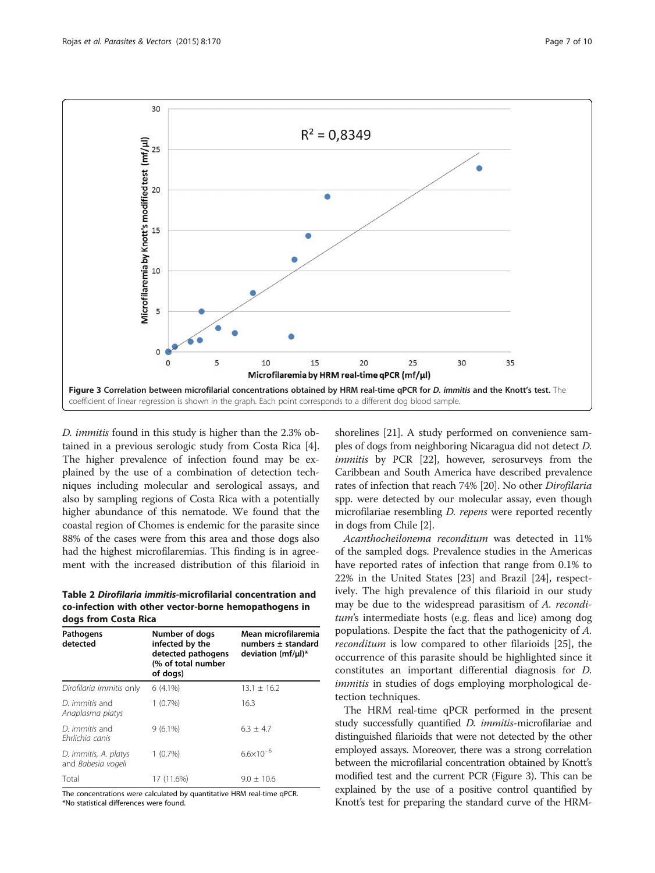<span id="page-6-0"></span>

D. immitis found in this study is higher than the 2.3% obtained in a previous serologic study from Costa Rica [[4](#page-8-0)]. The higher prevalence of infection found may be explained by the use of a combination of detection techniques including molecular and serological assays, and also by sampling regions of Costa Rica with a potentially higher abundance of this nematode. We found that the coastal region of Chomes is endemic for the parasite since 88% of the cases were from this area and those dogs also had the highest microfilaremias. This finding is in agreement with the increased distribution of this filarioid in

Table 2 Dirofilaria immitis-microfilarial concentration and co-infection with other vector-borne hemopathogens in dogs from Costa Rica

| Pathogens<br>detected                       | Number of dogs<br>infected by the<br>detected pathogens<br>(% of total number<br>of dogs) | Mean microfilaremia<br>numbers $\pm$ standard<br>deviation ( $mf/\mu$ I)* |
|---------------------------------------------|-------------------------------------------------------------------------------------------|---------------------------------------------------------------------------|
| Dirofilaria immitis only                    | $6(4.1\%)$                                                                                | $13.1 \pm 16.2$                                                           |
| D. <i>immitis</i> and<br>Anaplasma platys   | 1(0.7%)                                                                                   | 16.3                                                                      |
| D. <i>immitis</i> and<br>Fhrlichia canis    | $9(6.1\%)$                                                                                | $6.3 \pm 4.7$                                                             |
| D. immitis, A. platys<br>and Babesia vogeli | 1(0.7%)                                                                                   | $6.6 \times 10^{-6}$                                                      |
| Total                                       | 17 (11.6%)                                                                                | $9.0 \pm 10.6$                                                            |

The concentrations were calculated by quantitative HRM real-time qPCR. \*No statistical differences were found.

shorelines [[21](#page-8-0)]. A study performed on convenience samples of dogs from neighboring Nicaragua did not detect D. immitis by PCR [[22](#page-8-0)], however, serosurveys from the Caribbean and South America have described prevalence rates of infection that reach 74% [[20](#page-8-0)]. No other Dirofilaria spp. were detected by our molecular assay, even though microfilariae resembling D. repens were reported recently in dogs from Chile [\[2](#page-8-0)].

Acanthocheilonema reconditum was detected in 11% of the sampled dogs. Prevalence studies in the Americas have reported rates of infection that range from 0.1% to 22% in the United States [[23\]](#page-8-0) and Brazil [[24](#page-8-0)], respectively. The high prevalence of this filarioid in our study may be due to the widespread parasitism of A. reconditum's intermediate hosts (e.g. fleas and lice) among dog populations. Despite the fact that the pathogenicity of A. reconditum is low compared to other filarioids [[25\]](#page-8-0), the occurrence of this parasite should be highlighted since it constitutes an important differential diagnosis for D. immitis in studies of dogs employing morphological detection techniques.

The HRM real-time qPCR performed in the present study successfully quantified *D. immitis*-microfilariae and distinguished filarioids that were not detected by the other employed assays. Moreover, there was a strong correlation between the microfilarial concentration obtained by Knott's modified test and the current PCR (Figure 3). This can be explained by the use of a positive control quantified by Knott's test for preparing the standard curve of the HRM-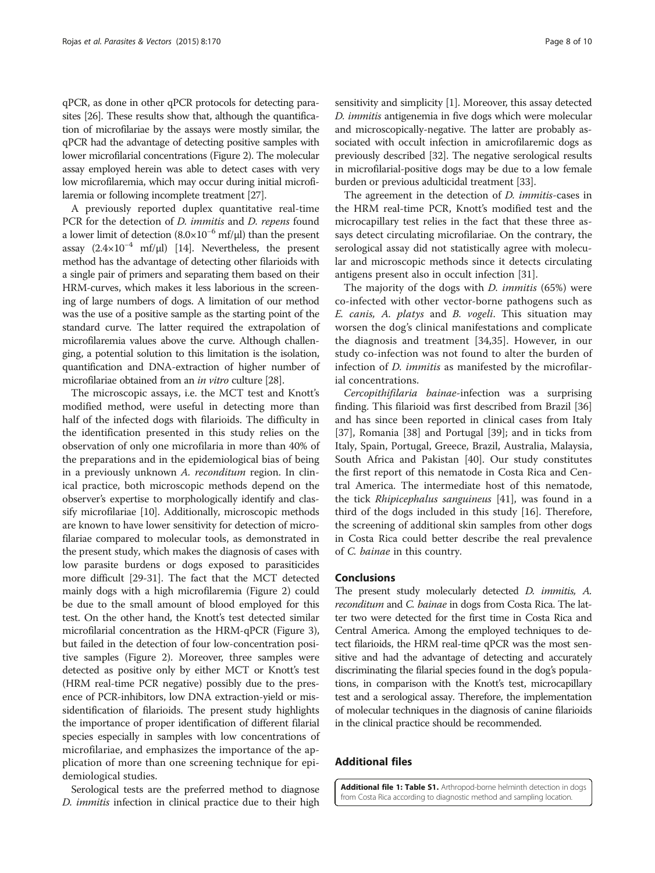<span id="page-7-0"></span>qPCR, as done in other qPCR protocols for detecting parasites [\[26\]](#page-8-0). These results show that, although the quantification of microfilariae by the assays were mostly similar, the qPCR had the advantage of detecting positive samples with lower microfilarial concentrations (Figure [2\)](#page-5-0). The molecular assay employed herein was able to detect cases with very low microfilaremia, which may occur during initial microfilaremia or following incomplete treatment [\[27](#page-8-0)].

A previously reported duplex quantitative real-time PCR for the detection of *D. immitis* and *D. repens* found a lower limit of detection  $(8.0\times10^{-6} \text{ mf/}\mu\text{l})$  than the present assay  $(2.4 \times 10^{-4} \text{ mf/}\mu\text{l})$  [\[14](#page-8-0)]. Nevertheless, the present method has the advantage of detecting other filarioids with a single pair of primers and separating them based on their HRM-curves, which makes it less laborious in the screening of large numbers of dogs. A limitation of our method was the use of a positive sample as the starting point of the standard curve. The latter required the extrapolation of microfilaremia values above the curve. Although challenging, a potential solution to this limitation is the isolation, quantification and DNA-extraction of higher number of microfilariae obtained from an *in vitro* culture [\[28\]](#page-8-0).

The microscopic assays, i.e. the MCT test and Knott's modified method, were useful in detecting more than half of the infected dogs with filarioids. The difficulty in the identification presented in this study relies on the observation of only one microfilaria in more than 40% of the preparations and in the epidemiological bias of being in a previously unknown A. reconditum region. In clinical practice, both microscopic methods depend on the observer's expertise to morphologically identify and classify microfilariae [[10](#page-8-0)]. Additionally, microscopic methods are known to have lower sensitivity for detection of microfilariae compared to molecular tools, as demonstrated in the present study, which makes the diagnosis of cases with low parasite burdens or dogs exposed to parasiticides more difficult [[29](#page-8-0)-[31](#page-8-0)]. The fact that the MCT detected mainly dogs with a high microfilaremia (Figure [2](#page-5-0)) could be due to the small amount of blood employed for this test. On the other hand, the Knott's test detected similar microfilarial concentration as the HRM-qPCR (Figure [3](#page-6-0)), but failed in the detection of four low-concentration positive samples (Figure [2](#page-5-0)). Moreover, three samples were detected as positive only by either MCT or Knott's test (HRM real-time PCR negative) possibly due to the presence of PCR-inhibitors, low DNA extraction-yield or missidentification of filarioids. The present study highlights the importance of proper identification of different filarial species especially in samples with low concentrations of microfilariae, and emphasizes the importance of the application of more than one screening technique for epidemiological studies.

Serological tests are the preferred method to diagnose D. *immitis* infection in clinical practice due to their high

sensitivity and simplicity [\[1](#page-8-0)]. Moreover, this assay detected D. immitis antigenemia in five dogs which were molecular and microscopically-negative. The latter are probably associated with occult infection in amicrofilaremic dogs as previously described [\[32\]](#page-8-0). The negative serological results in microfilarial-positive dogs may be due to a low female burden or previous adulticidal treatment [[33](#page-8-0)].

The agreement in the detection of *D. immitis-cases* in the HRM real-time PCR, Knott's modified test and the microcapillary test relies in the fact that these three assays detect circulating microfilariae. On the contrary, the serological assay did not statistically agree with molecular and microscopic methods since it detects circulating antigens present also in occult infection [\[31](#page-8-0)].

The majority of the dogs with *D. immitis* (65%) were co-infected with other vector-borne pathogens such as E. canis, A. platys and B. vogeli. This situation may worsen the dog's clinical manifestations and complicate the diagnosis and treatment [[34,35](#page-8-0)]. However, in our study co-infection was not found to alter the burden of infection of *D. immitis* as manifested by the microfilarial concentrations.

Cercopithifilaria bainae-infection was a surprising finding. This filarioid was first described from Brazil [[36](#page-9-0)] and has since been reported in clinical cases from Italy [[37\]](#page-9-0), Romania [[38\]](#page-9-0) and Portugal [[39](#page-9-0)]; and in ticks from Italy, Spain, Portugal, Greece, Brazil, Australia, Malaysia, South Africa and Pakistan [[40\]](#page-9-0). Our study constitutes the first report of this nematode in Costa Rica and Central America. The intermediate host of this nematode, the tick Rhipicephalus sanguineus [[41](#page-9-0)], was found in a third of the dogs included in this study [\[16](#page-8-0)]. Therefore, the screening of additional skin samples from other dogs in Costa Rica could better describe the real prevalence of C. bainae in this country.

#### Conclusions

The present study molecularly detected D. immitis, A. reconditum and C. bainae in dogs from Costa Rica. The latter two were detected for the first time in Costa Rica and Central America. Among the employed techniques to detect filarioids, the HRM real-time qPCR was the most sensitive and had the advantage of detecting and accurately discriminating the filarial species found in the dog's populations, in comparison with the Knott's test, microcapillary test and a serological assay. Therefore, the implementation of molecular techniques in the diagnosis of canine filarioids in the clinical practice should be recommended.

## Additional files

[Additional file 1: Table S1.](http://www.parasitesandvectors.com/content/supplementary/s13071-015-0783-8-s1.docx) Arthropod-borne helminth detection in dogs from Costa Rica according to diagnostic method and sampling location.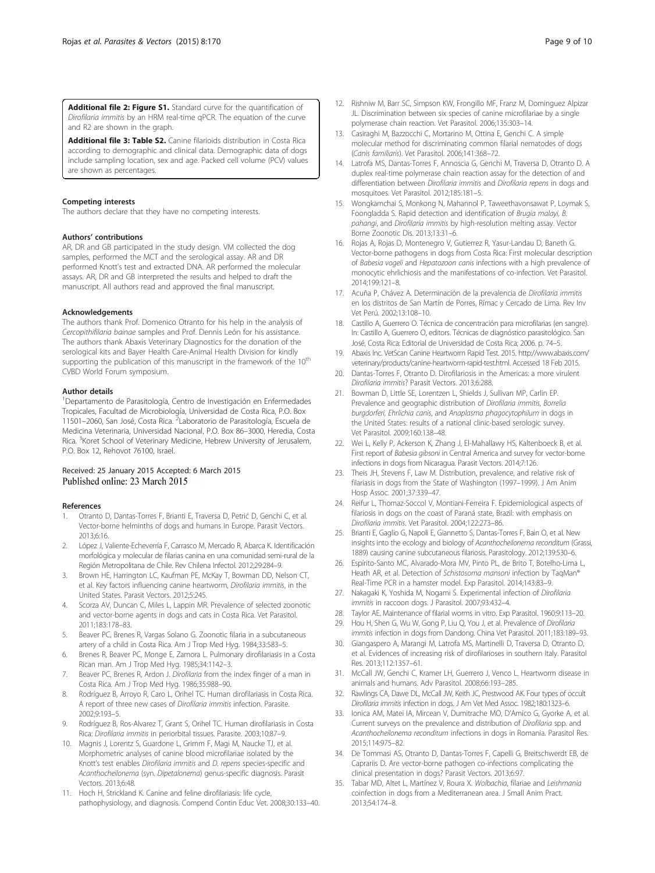<span id="page-8-0"></span>[Additional file 2: Figure S1.](http://www.parasitesandvectors.com/content/supplementary/s13071-015-0783-8-s2.jpg) Standard curve for the quantification of Dirofilaria immitis by an HRM real-time qPCR. The equation of the curve and R2 are shown in the graph.

[Additional file 3: Table S2.](http://www.parasitesandvectors.com/content/supplementary/s13071-015-0783-8-s3.docx) Canine filarioids distribution in Costa Rica according to demographic and clinical data. Demographic data of dogs include sampling location, sex and age. Packed cell volume (PCV) values are shown as percentages.

#### Competing interests

The authors declare that they have no competing interests.

#### Authors' contributions

AR, DR and GB participated in the study design. VM collected the dog samples, performed the MCT and the serological assay. AR and DR performed Knott's test and extracted DNA. AR performed the molecular assays. AR, DR and GB interpreted the results and helped to draft the manuscript. All authors read and approved the final manuscript.

#### Acknowledgements

The authors thank Prof. Domenico Otranto for his help in the analysis of Cercopithifilaria bainae samples and Prof. Dennis León for his assistance. The authors thank Abaxis Veterinary Diagnostics for the donation of the serological kits and Bayer Health Care-Animal Health Division for kindly supporting the publication of this manuscript in the framework of the 10<sup>th</sup> CVBD World Forum symposium.

#### Author details

<sup>1</sup>Departamento de Parasitología, Centro de Investigación en Enfermedades Tropicales, Facultad de Microbiología, Universidad de Costa Rica, P.O. Box 11501-2060, San José, Costa Rica. <sup>2</sup> Laboratorio de Parasitología, Escuela de Medicina Veterinaria, Universidad Nacional, P.O. Box 86–3000, Heredia, Costa Rica. <sup>3</sup> Koret School of Veterinary Medicine, Hebrew University of Jerusalem, P.O. Box 12, Rehovot 76100, Israel.

#### Received: 25 January 2015 Accepted: 6 March 2015 Published online: 23 March 2015

#### References

- 1. Otranto D, Dantas-Torres F, Brianti E, Traversa D, Petrić D, Genchi C, et al. Vector-borne helminths of dogs and humans in Europe. Parasit Vectors. 2013;6:16.
- 2. López J, Valiente-Echeverría F, Carrasco M, Mercado R, Abarca K. Identificación morfológica y molecular de filarias canina en una comunidad semi-rural de la Región Metropolitana de Chile. Rev Chilena Infectol. 2012;29:284–9.
- Brown HE, Harrington LC, Kaufman PE, McKay T, Bowman DD, Nelson CT, et al. Key factors influencing canine heartworm, Dirofilaria immitis, in the United States. Parasit Vectors. 2012;5:245.
- 4. Scorza AV, Duncan C, Miles L, Lappin MR. Prevalence of selected zoonotic and vector-borne agents in dogs and cats in Costa Rica. Vet Parasitol. 2011;183:178–83.
- 5. Beaver PC, Brenes R, Vargas Solano G. Zoonotic filaria in a subcutaneous artery of a child in Costa Rica. Am J Trop Med Hyg. 1984;33:583–5.
- 6. Brenes R, Beaver PC, Monge E, Zamora L. Pulmonary dirofilariasis in a Costa Rican man. Am J Trop Med Hyg. 1985;34:1142–3.
- 7. Beaver PC, Brenes R, Ardon J. Dirofilaria from the index finger of a man in Costa Rica. Am J Trop Med Hyg. 1986;35:988–90.
- 8. Rodríguez B, Arroyo R, Caro L, Orihel TC. Human dirofilariasis in Costa Rica. A report of three new cases of Dirofilaria immitis infection. Parasite. 2002;9:193–5.
- 9. Rodríguez B, Ros-Alvarez T, Grant S, Orihel TC. Human dirofilariasis in Costa Rica: Dirofilaria immitis in periorbital tissues. Parasite. 2003;10:87–9.
- 10. Magnis J, Lorentz S, Guardone L, Grimm F, Magi M, Naucke TJ, et al. Morphometric analyses of canine blood microfilariae isolated by the Knott's test enables Dirofilaria immitis and D. repens species-specific and Acanthocheilonema (syn. Dipetalonema) genus-specific diagnosis. Parasit Vectors. 2013;6:48.
- 11. Hoch H, Strickland K. Canine and feline dirofilariasis: life cycle, pathophysiology, and diagnosis. Compend Contin Educ Vet. 2008;30:133–40.
- 12. Rishniw M, Barr SC, Simpson KW, Frongillo MF, Franz M, Dominguez Alpizar JL. Discrimination between six species of canine microfilariae by a single polymerase chain reaction. Vet Parasitol. 2006;135:303–14.
- 13. Casiraghi M, Bazzocchi C, Mortarino M, Ottina E, Genchi C. A simple molecular method for discriminating common filarial nematodes of dogs (Canis familiaris). Vet Parasitol. 2006;141:368–72.
- 14. Latrofa MS, Dantas-Torres F, Annoscia G, Genchi M, Traversa D, Otranto D. A duplex real-time polymerase chain reaction assay for the detection of and differentiation between Dirofilaria immitis and Dirofilaria repens in dogs and mosquitoes. Vet Parasitol. 2012;185:181–5.
- 15. Wongkamchai S, Monkong N, Mahannol P, Taweethavonsawat P, Loymak S, Foongladda S. Rapid detection and identification of Brugia malayi, B. pahangi, and Dirofilaria immitis by high-resolution melting assay. Vector Borne Zoonotic Dis. 2013;13:31–6.
- 16. Rojas A, Rojas D, Montenegro V, Gutierrez R, Yasur-Landau D, Baneth G. Vector-borne pathogens in dogs from Costa Rica: First molecular description of Babesia vogeli and Hepatozoon canis infections with a high prevalence of monocytic ehrlichiosis and the manifestations of co-infection. Vet Parasitol. 2014;199:121–8.
- 17. Acuña P, Chávez A. Determinación de la prevalencia de Dirofilaria immitis en los distritos de San Martín de Porres, Rímac y Cercado de Lima. Rev Inv Vet Perú. 2002;13:108–10.
- 18. Castillo A, Guerrero O. Técnica de concentración para microfilarias (en sangre). In: Castillo A, Guerrero O, editors. Técnicas de diagnóstico parasitológico. San José, Costa Rica: Editorial de Universidad de Costa Rica; 2006. p. 74–5.
- 19. Abaxis Inc. VetScan Canine Heartworm Rapid Test. 2015. [http://www.abaxis.com/](http://www.abaxis.com/veterinary/products/canine-heartworm-rapid-test.html) [veterinary/products/canine-heartworm-rapid-test.html](http://www.abaxis.com/veterinary/products/canine-heartworm-rapid-test.html). Accessed 18 Feb 2015.
- 20. Dantas-Torres F, Otranto D. Dirofilariosis in the Americas: a more virulent Dirofilaria immitis? Parasit Vectors. 2013;6:288.
- 21. Bowman D, Little SE, Lorentzen L, Shields J, Sullivan MP, Carlin EP. Prevalence and geographic distribution of Dirofilaria immitis, Borrelia burgdorferi, Ehrlichia canis, and Anaplasma phagocytophilum in dogs in the United States: results of a national clinic-based serologic survey. Vet Parasitol. 2009;160:138–48.
- 22. Wei L, Kelly P, Ackerson K, Zhang J, El-Mahallawy HS, Kaltenboeck B, et al. First report of Babesia gibsoni in Central America and survey for vector-borne infections in dogs from Nicaragua. Parasit Vectors. 2014;7:126.
- 23. Theis JH, Stevens F, Law M. Distribution, prevalence, and relative risk of filariasis in dogs from the State of Washington (1997–1999). J Am Anim Hosp Assoc. 2001;37:339–47.
- 24. Reifur L, Thomaz-Soccol V, Montiani-Ferreira F. Epidemiological aspects of filariosis in dogs on the coast of Paraná state, Brazil: with emphasis on Dirofilaria immitis. Vet Parasitol. 2004;122:273–86.
- 25. Brianti E, Gaglio G, Napoli E, Giannetto S, Dantas-Torres F, Bain O, et al. New insights into the ecology and biology of Acanthocheilonema reconditum (Grassi, 1889) causing canine subcutaneous filariosis. Parasitology. 2012;139:530–6.
- 26. Espírito-Santo MC, Alvarado-Mora MV, Pinto PL, de Brito T, Botelho-Lima L, Heath AR, et al. Detection of Schistosoma mansoni infection by TaqMan® Real-Time PCR in a hamster model. Exp Parasitol. 2014;143:83–9.
- 27. Nakagaki K, Yoshida M, Nogami S. Experimental infection of Dirofilaria immitis in raccoon dogs. J Parasitol. 2007;93:432–4.
- 28. Taylor AE. Maintenance of filarial worms in vitro. Exp Parasitol. 1960;9:113–20. 29. Hou H, Shen G, Wu W, Gong P, Liu Q, You J, et al. Prevalence of Dirofilaria
- immitis infection in dogs from Dandong. China Vet Parasitol. 2011;183:189–93. 30. Giangaspero A, Marangi M, Latrofa MS, Martinelli D, Traversa D, Otranto D,
- et al. Evidences of increasing risk of dirofilarioses in southern Italy. Parasitol Res. 2013;112:1357–61.
- 31. McCall JW, Genchi C, Kramer LH, Guerrero J, Venco L. Heartworm disease in animals and humans. Adv Parasitol. 2008;66:193–285.
- 32. Rawlings CA, Dawe DL, McCall JW, Keith JC, Prestwood AK. Four types of occult Dirofilaria immitis infection in dogs. J Am Vet Med Assoc. 1982;180:1323–6.
- 33. Ionica AM, Matei IA, Mircean V, Dumitrache MO, D'Amico G, Gyorke A, et al. Current surveys on the prevalence and distribution of Dirofilaria spp. and Acanthocheilonema reconditum infections in dogs in Romania. Parasitol Res. 2015;114:975–82.
- 34. De Tommasi AS, Otranto D, Dantas-Torres F, Capelli G, Breitschwerdt EB, de Caprariis D. Are vector-borne pathogen co-infections complicating the clinical presentation in dogs? Parasit Vectors. 2013;6:97.
- 35. Tabar MD, Altet L, Martínez V, Roura X. Wolbachia, filariae and Leishmania coinfection in dogs from a Mediterranean area. J Small Anim Pract. 2013;54:174–8.